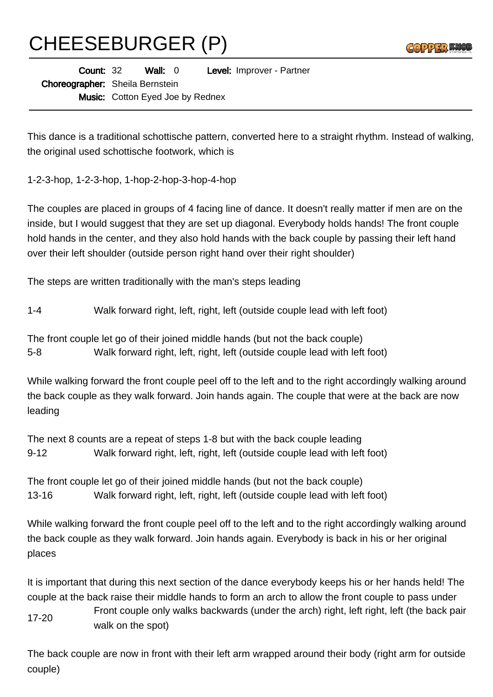## CHEESEBURGER (P)

| <b>Contract Contract</b><br>◥◣<br><br>Cda<br><b>PA</b><br>$\frac{1}{2}$<br>$-$ |  |
|--------------------------------------------------------------------------------|--|
|--------------------------------------------------------------------------------|--|

| <b>Count: 32</b>                       | Wall: 0                                 |  | Level: Improver - Partner |
|----------------------------------------|-----------------------------------------|--|---------------------------|
| <b>Choreographer:</b> Sheila Bernstein |                                         |  |                           |
|                                        | <b>Music:</b> Cotton Eyed Joe by Rednex |  |                           |

This dance is a traditional schottische pattern, converted here to a straight rhythm. Instead of walking, the original used schottische footwork, which is

1-2-3-hop, 1-2-3-hop, 1-hop-2-hop-3-hop-4-hop

The couples are placed in groups of 4 facing line of dance. It doesn't really matter if men are on the inside, but I would suggest that they are set up diagonal. Everybody holds hands! The front couple hold hands in the center, and they also hold hands with the back couple by passing their left hand over their left shoulder (outside person right hand over their right shoulder)

The steps are written traditionally with the man's steps leading

1-4 Walk forward right, left, right, left (outside couple lead with left foot)

The front couple let go of their joined middle hands (but not the back couple) 5-8 Walk forward right, left, right, left (outside couple lead with left foot)

While walking forward the front couple peel off to the left and to the right accordingly walking around the back couple as they walk forward. Join hands again. The couple that were at the back are now leading

The next 8 counts are a repeat of steps 1-8 but with the back couple leading 9-12 Walk forward right, left, right, left (outside couple lead with left foot)

The front couple let go of their joined middle hands (but not the back couple) 13-16 Walk forward right, left, right, left (outside couple lead with left foot)

While walking forward the front couple peel off to the left and to the right accordingly walking around the back couple as they walk forward. Join hands again. Everybody is back in his or her original places

It is important that during this next section of the dance everybody keeps his or her hands held! The couple at the back raise their middle hands to form an arch to allow the front couple to pass under

17-20 Front couple only walks backwards (under the arch) right, left right, left (the back pair walk on the spot)

The back couple are now in front with their left arm wrapped around their body (right arm for outside couple)